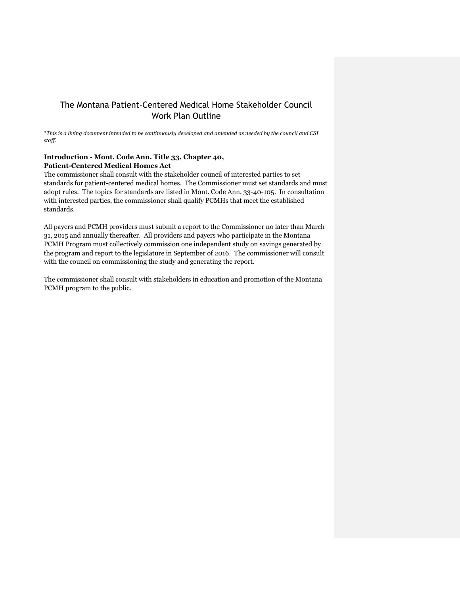## The Montana Patient-Centered Medical Home Stakeholder Council Work Plan Outline

\**This is a living document intended to be continuously developed and amended as needed by the council and CSI staff.*

## **Introduction - Mont. Code Ann. Title 33, Chapter 40, Patient-Centered Medical Homes Act**

The commissioner shall consult with the stakeholder council of interested parties to set standards for patient-centered medical homes. The Commissioner must set standards and must adopt rules. The topics for standards are listed in Mont. Code Ann. 33-40-105. In consultation with interested parties, the commissioner shall qualify PCMHs that meet the established standards.

All payers and PCMH providers must submit a report to the Commissioner no later than March 31, 2015 and annually thereafter. All providers and payers who participate in the Montana PCMH Program must collectively commission one independent study on savings generated by the program and report to the legislature in September of 2016. The commissioner will consult with the council on commissioning the study and generating the report.

The commissioner shall consult with stakeholders in education and promotion of the Montana PCMH program to the public.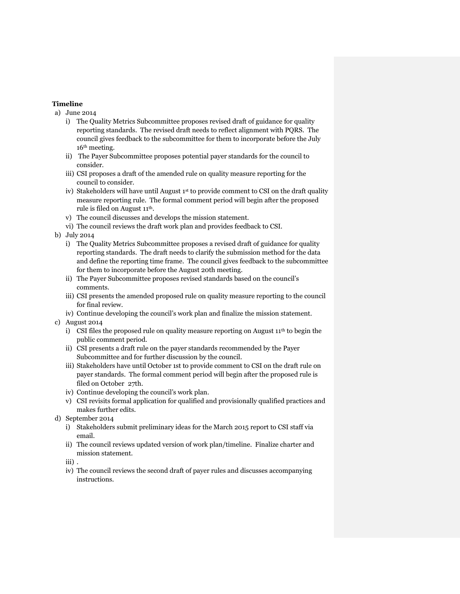## **Timeline**

- a) June 2014
	- i) The Quality Metrics Subcommittee proposes revised draft of guidance for quality reporting standards. The revised draft needs to reflect alignment with PQRS. The council gives feedback to the subcommittee for them to incorporate before the July 16th meeting.
	- ii) The Payer Subcommittee proposes potential payer standards for the council to consider.
	- iii) CSI proposes a draft of the amended rule on quality measure reporting for the council to consider.
	- iv) Stakeholders will have until August  $1<sup>st</sup>$  to provide comment to CSI on the draft quality measure reporting rule. The formal comment period will begin after the proposed rule is filed on August 11th.
	- v) The council discusses and develops the mission statement.
	- vi) The council reviews the draft work plan and provides feedback to CSI.
- b) July 2014
	- i) The Quality Metrics Subcommittee proposes a revised draft of guidance for quality reporting standards. The draft needs to clarify the submission method for the data and define the reporting time frame. The council gives feedback to the subcommittee for them to incorporate before the August 20th meeting.
	- ii) The Payer Subcommittee proposes revised standards based on the council's comments.
	- iii) CSI presents the amended proposed rule on quality measure reporting to the council for final review.
	- iv) Continue developing the council's work plan and finalize the mission statement.
- c) August 2014
	- i) CSI files the proposed rule on quality measure reporting on August  $11<sup>th</sup>$  to begin the public comment period.
	- ii) CSI presents a draft rule on the payer standards recommended by the Payer Subcommittee and for further discussion by the council.
	- iii) Stakeholders have until October 1st to provide comment to CSI on the draft rule on payer standards. The formal comment period will begin after the proposed rule is filed on October 27th.
	- iv) Continue developing the council's work plan.
	- v) CSI revisits formal application for qualified and provisionally qualified practices and makes further edits.
- d) September 2014
	- i) Stakeholders submit preliminary ideas for the March 2015 report to CSI staff via email.
	- ii) The council reviews updated version of work plan/timeline. Finalize charter and mission statement.
	- iii) .
	- iv) The council reviews the second draft of payer rules and discusses accompanying instructions.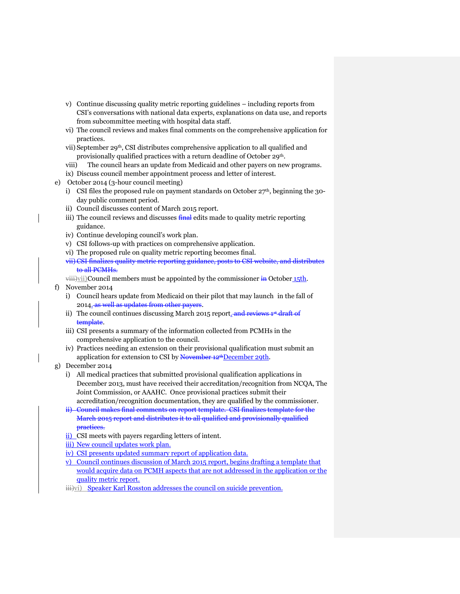- v) Continue discussing quality metric reporting guidelines including reports from CSI's conversations with national data experts, explanations on data use, and reports from subcommittee meeting with hospital data staff.
- vi) The council reviews and makes final comments on the comprehensive application for practices.
- vii) September 29th, CSI distributes comprehensive application to all qualified and provisionally qualified practices with a return deadline of October 29th.
- viii) The council hears an update from Medicaid and other payers on new programs.
- ix) Discuss council member appointment process and letter of interest.
- e) October 2014 (3-hour council meeting)
	- i) CSI files the proposed rule on payment standards on October  $27<sup>th</sup>$ , beginning the 30day public comment period.
	- ii) Council discusses content of March 2015 report.
	- iii) The council reviews and discusses  $\frac{final}{}$  edits made to quality metric reporting guidance.
	- iv) Continue developing council's work plan.
	- v) CSI follows-up with practices on comprehensive application.
	- vi) The proposed rule on quality metric reporting becomes final.
	- vii) CSI finalizes quality metric reporting guidance, posts to CSI website, and distributes to all PCMHs.
	- $\overrightarrow{v}$  viii)vii)Council members must be appointed by the commissioner in October 15th.
- f) November 2014
	- i) Council hears update from Medicaid on their pilot that may launch in the fall of 2014. as well as updates from other payers.
	- ii) The council continues discussing March 2015 report. and reviews 1<sup>st</sup> draft of template.
	- iii) CSI presents a summary of the information collected from PCMHs in the comprehensive application to the council.
	- iv) Practices needing an extension on their provisional qualification must submit an application for extension to CSI by November 12<sup>th</sup>December 29th.
- g) December 2014
	- i) All medical practices that submitted provisional qualification applications in December 2013, must have received their accreditation/recognition from NCQA, The Joint Commission, or AAAHC. Once provisional practices submit their accreditation/recognition documentation, they are qualified by the commissioner.
	- ii) Council makes final comments on report template. CSI finalizes template for the March 2015 report and distributes it to all qualified and provisionally qualified practices.
	- ii) CSI meets with payers regarding letters of intent.
	- iii) New council updates work plan.
	- iv) CSI presents updated summary report of application data.
	- v) Council continues discussion of March 2015 report, begins drafting a template that would acquire data on PCMH aspects that are not addressed in the application or the quality metric report.
	- $\overrightarrow{ii}$ vi) Speaker Karl Rosston addresses the council on suicide prevention.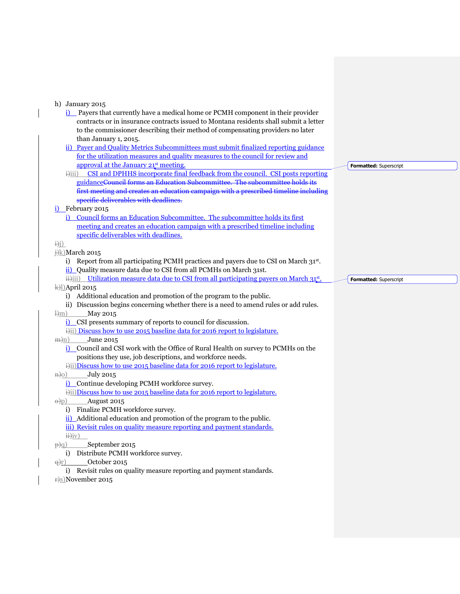| h) January 2015<br><b>i</b> ) Payers that currently have a medical home or PCMH component in their provider                                                                 |                        |
|-----------------------------------------------------------------------------------------------------------------------------------------------------------------------------|------------------------|
| contracts or in insurance contracts issued to Montana residents shall submit a letter                                                                                       |                        |
| to the commissioner describing their method of compensating providers no later                                                                                              |                        |
| than January 1, 2015.                                                                                                                                                       |                        |
| ii) Payer and Quality Metrics Subcommittees must submit finalized reporting guidance                                                                                        |                        |
| for the utilization measures and quality measures to the council for review and                                                                                             |                        |
| approval at the January 21 <sup>st</sup> meeting.                                                                                                                           | Formatted: Superscript |
| CSI and DPHHS incorporate final feedback from the council. CSI posts reporting<br>$\ddot{H}$<br>guidanceCouncil forms an Education Subcommittee. The subcommittee holds its |                        |
| first meeting and creates an education campaign with a prescribed timeline including                                                                                        |                        |
| specific deliverables with deadlines.                                                                                                                                       |                        |
| i) February 2015                                                                                                                                                            |                        |
| Council forms an Education Subcommittee. The subcommittee holds its first                                                                                                   |                        |
| meeting and creates an education campaign with a prescribed timeline including                                                                                              |                        |
| specific deliverables with deadlines.                                                                                                                                       |                        |
| $\frac{1}{2}$                                                                                                                                                               |                        |
| $\frac{1}{2}$ March 2015                                                                                                                                                    |                        |
| i) Report from all participating PCMH practices and payers due to CSI on March $31st$ .                                                                                     |                        |
| ii) Quality measure data due to CSI from all PCMHs on March 31st.<br>iii) Utilization measure data due to CSI from all participating payers on March 31 <sup>st</sup> .     |                        |
| k)])April 2015                                                                                                                                                              | Formatted: Superscript |
|                                                                                                                                                                             |                        |
|                                                                                                                                                                             |                        |
| i) Additional education and promotion of the program to the public.<br>ii) Discussion begins concerning whether there is a need to amend rules or add rules.                |                        |
| $\frac{1}{2}$ m<br>May 2015                                                                                                                                                 |                        |
| i) CSI presents summary of reports to council for discussion.                                                                                                               |                        |
| i)ii) Discuss how to use 2015 baseline data for 2016 report to legislature.                                                                                                 |                        |
| June 2015<br>$\pm n$ )                                                                                                                                                      |                        |
| Council and CSI work with the Office of Rural Health on survey to PCMHs on the<br>i)                                                                                        |                        |
| positions they use, job descriptions, and workforce needs.                                                                                                                  |                        |
| i)ii)Discuss how to use 2015 baseline data for 2016 report to legislature.                                                                                                  |                        |
| <b>July 2015</b><br>$\theta$ <sub>n</sub> $\theta$ )<br>Continue developing PCMH workforce survey.                                                                          |                        |
| i)ii)Discuss how to use 2015 baseline data for 2016 report to legislature.                                                                                                  |                        |
| August 2015<br>$\Theta$ <sub>p</sub> $)$                                                                                                                                    |                        |
| Finalize PCMH workforce survey.<br>$\mathbf{i}$                                                                                                                             |                        |
| ii) Additional education and promotion of the program to the public.                                                                                                        |                        |
| iii) Revisit rules on quality measure reporting and payment standards.                                                                                                      |                        |
| $\ddot{H}$ iv)                                                                                                                                                              |                        |
| September 2015<br>$\frac{1}{P}$ $\frac{1}{Q}$                                                                                                                               |                        |
| i) Distribute PCMH workforce survey.                                                                                                                                        |                        |
| October 2015<br><u>e)r)</u><br>i) Revisit rules on quality measure reporting and payment standards.                                                                         |                        |
| $\pm$ S)November 2015                                                                                                                                                       |                        |
|                                                                                                                                                                             |                        |